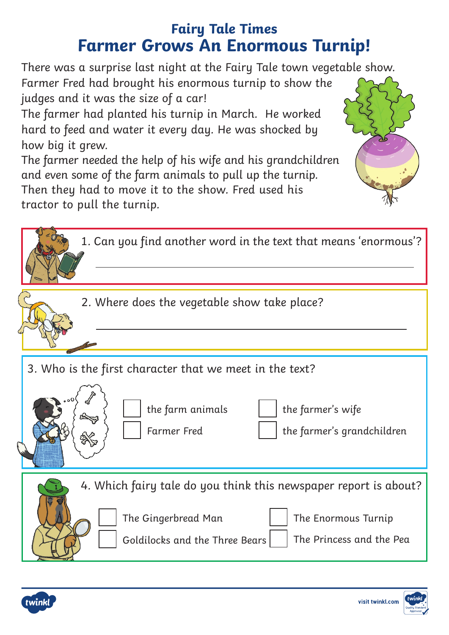## **Fairy Tale Times Farmer Grows An Enormous Turnip!**

There was a surprise last night at the Fairy Tale town vegetable show. Farmer Fred had brought his enormous turnip to show the judges and it was the size of a car!

The farmer had planted his turnip in March. He worked hard to feed and water it every day. He was shocked by how big it grew.

The farmer needed the help of his wife and his grandchildren and even some of the farm animals to pull up the turnip. Then they had to move it to the show. Fred used his tractor to pull the turnip.

| 1. Can you find another word in the text that means 'enormous'?                                                                                                              |  |
|------------------------------------------------------------------------------------------------------------------------------------------------------------------------------|--|
| 2. Where does the vegetable show take place?                                                                                                                                 |  |
| 3. Who is the first character that we meet in the text?<br>the farm animals<br>the farmer's wife<br><b>Farmer</b> Fred<br>the farmer's grandchildren                         |  |
| 4. Which fairy tale do you think this newspaper report is about?<br>The Gingerbread Man<br>The Enormous Turnip<br>Goldilocks and the Three Bears<br>The Princess and the Pea |  |